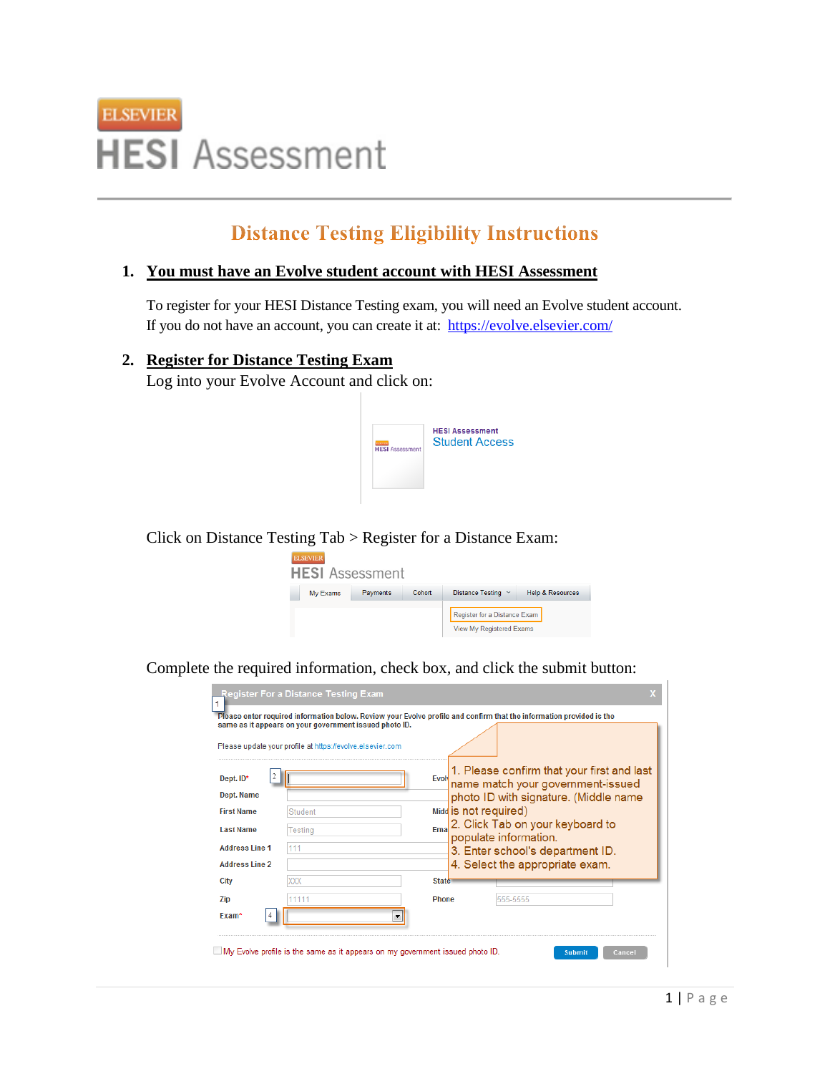

# **Distance Testing Eligibility Instructions**

#### **1. You must have an Evolve student account with HESI Assessment**

To register for your HESI Distance Testing exam, you will need an Evolve student account. If you do not have an account, you can create it at:<https://evolve.elsevier.com/>

## **2. Register for Distance Testing Exam**

Log into your Evolve Account and click on:



Click on Distance Testing Tab > Register for a Distance Exam:



Complete the required information, check box, and click the submit button:

|                                                                                                                                | same as it appears on your government issued photo ID.<br>Please update your profile at https://evolve.elsevier.com |                                                                                                                                                                                                                                                                                                       |  |
|--------------------------------------------------------------------------------------------------------------------------------|---------------------------------------------------------------------------------------------------------------------|-------------------------------------------------------------------------------------------------------------------------------------------------------------------------------------------------------------------------------------------------------------------------------------------------------|--|
| 2<br>Dept. ID*<br><b>Dept. Name</b><br><b>First Name</b><br><b>Last Name</b><br><b>Address Line 1</b><br><b>Address Line 2</b> | <b>Student</b><br>Testing<br>111                                                                                    | 1. Please confirm that your first and last<br>Evolv<br>name match your government-issued<br>photo ID with signature. (Middle name<br>Midd is not required)<br>2. Click Tab on your keyboard to<br>Ema<br>populate information.<br>3. Enter school's department ID.<br>4. Select the appropriate exam. |  |
| City                                                                                                                           | XXX                                                                                                                 | <b>State</b>                                                                                                                                                                                                                                                                                          |  |
| Zip<br>Exam <sup>*</sup>                                                                                                       | 11111<br>▼                                                                                                          | <b>Phone</b><br>555-5555                                                                                                                                                                                                                                                                              |  |